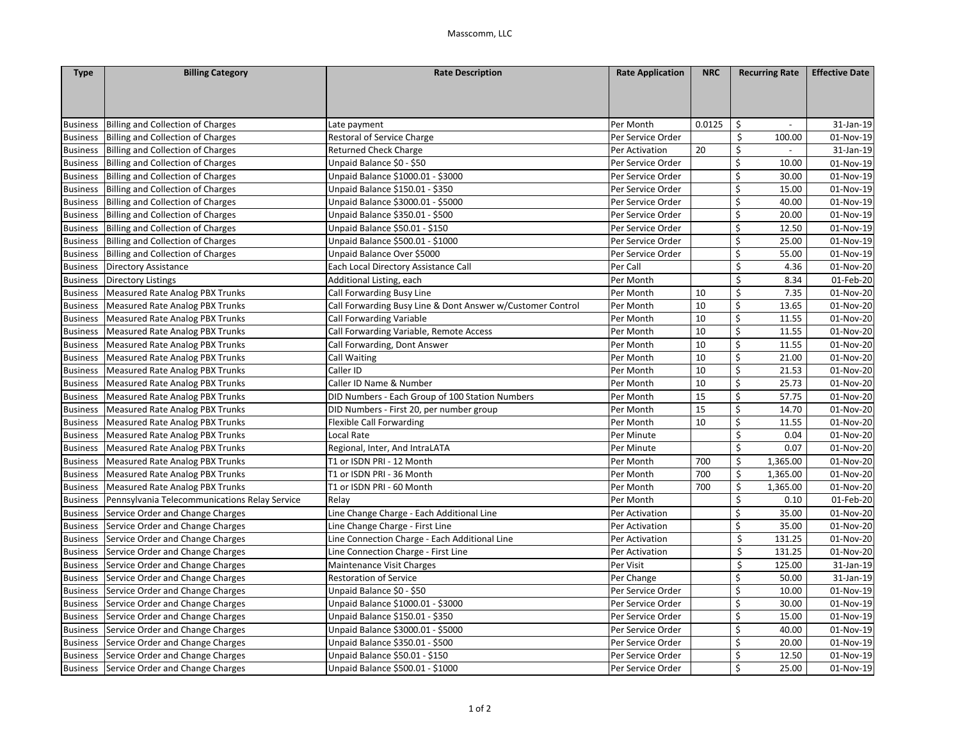| <b>Type</b>     | <b>Billing Category</b>                       | <b>Rate Description</b>                                    | <b>Rate Application</b> | <b>NRC</b> | <b>Recurring Rate</b>                | <b>Effective Date</b> |
|-----------------|-----------------------------------------------|------------------------------------------------------------|-------------------------|------------|--------------------------------------|-----------------------|
|                 |                                               |                                                            |                         |            |                                      |                       |
|                 |                                               |                                                            |                         |            |                                      |                       |
|                 |                                               |                                                            |                         |            |                                      |                       |
| <b>Business</b> | <b>Billing and Collection of Charges</b>      | Late payment                                               | Per Month               | 0.0125     | \$<br>$\sim$                         | 31-Jan-19             |
| <b>Business</b> | <b>Billing and Collection of Charges</b>      | Restoral of Service Charge                                 | Per Service Order       |            | \$<br>100.00                         | 01-Nov-19             |
| <b>Business</b> | <b>Billing and Collection of Charges</b>      | <b>Returned Check Charge</b>                               | Per Activation          | 20         | \$                                   | 31-Jan-19             |
| <b>Business</b> | Billing and Collection of Charges             | Unpaid Balance \$0 - \$50                                  | Per Service Order       |            | \$<br>10.00                          | 01-Nov-19             |
| <b>Business</b> | <b>Billing and Collection of Charges</b>      | Unpaid Balance \$1000.01 - \$3000                          | Per Service Order       |            | \$<br>30.00                          | 01-Nov-19             |
| <b>Business</b> | <b>Billing and Collection of Charges</b>      | Unpaid Balance \$150.01 - \$350                            | Per Service Order       |            | \$<br>15.00                          | 01-Nov-19             |
| <b>Business</b> | <b>Billing and Collection of Charges</b>      | Unpaid Balance \$3000.01 - \$5000                          | Per Service Order       |            | \$<br>40.00                          | 01-Nov-19             |
| <b>Business</b> | <b>Billing and Collection of Charges</b>      | Unpaid Balance \$350.01 - \$500                            | Per Service Order       |            | \$<br>20.00                          | 01-Nov-19             |
| <b>Business</b> | <b>Billing and Collection of Charges</b>      | Unpaid Balance \$50.01 - \$150                             | Per Service Order       |            | \$<br>12.50                          | 01-Nov-19             |
| <b>Business</b> | <b>Billing and Collection of Charges</b>      | Unpaid Balance \$500.01 - \$1000                           | Per Service Order       |            | \$<br>25.00                          | 01-Nov-19             |
| <b>Business</b> | Billing and Collection of Charges             | Unpaid Balance Over \$5000                                 | Per Service Order       |            | \$<br>55.00                          | 01-Nov-19             |
| <b>Business</b> | Directory Assistance                          | Each Local Directory Assistance Call                       | Per Call                |            | \$<br>4.36                           | 01-Nov-20             |
| <b>Business</b> | <b>Directory Listings</b>                     | Additional Listing, each                                   | Per Month               |            | \$<br>8.34                           | 01-Feb-20             |
| <b>Business</b> | <b>Measured Rate Analog PBX Trunks</b>        | Call Forwarding Busy Line                                  | Per Month               | 10         | \$<br>7.35                           | 01-Nov-20             |
| <b>Business</b> | <b>Measured Rate Analog PBX Trunks</b>        | Call Forwarding Busy Line & Dont Answer w/Customer Control | Per Month               | 10         | \$<br>13.65                          | 01-Nov-20             |
| <b>Business</b> | <b>Measured Rate Analog PBX Trunks</b>        | Call Forwarding Variable                                   | Per Month               | 10         | \$<br>11.55                          | 01-Nov-20             |
| <b>Business</b> | <b>Measured Rate Analog PBX Trunks</b>        | Call Forwarding Variable, Remote Access                    | Per Month               | 10         | \$<br>11.55                          | 01-Nov-20             |
| <b>Business</b> | <b>Measured Rate Analog PBX Trunks</b>        | Call Forwarding, Dont Answer                               | Per Month               | 10         | $\boldsymbol{\zeta}$<br>11.55        | 01-Nov-20             |
| <b>Business</b> | Measured Rate Analog PBX Trunks               | Call Waiting                                               | Per Month               | 10         | \$<br>21.00                          | 01-Nov-20             |
| <b>Business</b> | <b>Measured Rate Analog PBX Trunks</b>        | Caller ID                                                  | Per Month               | 10         | \$<br>21.53                          | 01-Nov-20             |
| <b>Business</b> | <b>Measured Rate Analog PBX Trunks</b>        | Caller ID Name & Number                                    | Per Month               | 10         | $\overline{\xi}$<br>25.73            | 01-Nov-20             |
| <b>Business</b> | <b>Measured Rate Analog PBX Trunks</b>        | DID Numbers - Each Group of 100 Station Numbers            | Per Month               | 15         | \$<br>57.75                          | 01-Nov-20             |
| <b>Business</b> | Measured Rate Analog PBX Trunks               | DID Numbers - First 20, per number group                   | Per Month               | 15         | \$<br>14.70                          | 01-Nov-20             |
| <b>Business</b> | <b>Measured Rate Analog PBX Trunks</b>        | <b>Flexible Call Forwarding</b>                            | Per Month               | 10         | \$<br>11.55                          | 01-Nov-20             |
| <b>Business</b> | Measured Rate Analog PBX Trunks               | Local Rate                                                 | Per Minute              |            | \$<br>0.04                           | 01-Nov-20             |
| <b>Business</b> | <b>Measured Rate Analog PBX Trunks</b>        | Regional, Inter, And IntraLATA                             | Per Minute              |            | \$<br>0.07                           | 01-Nov-20             |
| <b>Business</b> | <b>Measured Rate Analog PBX Trunks</b>        | T1 or ISDN PRI - 12 Month                                  | Per Month               | 700        | $\overline{\mathcal{L}}$<br>1,365.00 | 01-Nov-20             |
| <b>Business</b> | <b>Measured Rate Analog PBX Trunks</b>        | T1 or ISDN PRI - 36 Month                                  | Per Month               | 700        | \$<br>1,365.00                       | 01-Nov-20             |
| <b>Business</b> | <b>Measured Rate Analog PBX Trunks</b>        | T1 or ISDN PRI - 60 Month                                  | Per Month               | 700        | \$<br>1,365.00                       | 01-Nov-20             |
| <b>Business</b> | Pennsylvania Telecommunications Relay Service | Relay                                                      | Per Month               |            | \$<br>0.10                           | 01-Feb-20             |
| <b>Business</b> | Service Order and Change Charges              | Line Change Charge - Each Additional Line                  | Per Activation          |            | $\overline{\xi}$<br>35.00            | 01-Nov-20             |
| <b>Business</b> | Service Order and Change Charges              | Line Change Charge - First Line                            | Per Activation          |            | \$<br>35.00                          | 01-Nov-20             |
| <b>Business</b> | Service Order and Change Charges              | Line Connection Charge - Each Additional Line              | Per Activation          |            | \$<br>131.25                         | 01-Nov-20             |
| <b>Business</b> | Service Order and Change Charges              | Line Connection Charge - First Line                        | Per Activation          |            | \$<br>131.25                         | 01-Nov-20             |
| <b>Business</b> | Service Order and Change Charges              | Maintenance Visit Charges                                  | Per Visit               |            | \$<br>125.00                         | 31-Jan-19             |
| <b>Business</b> | Service Order and Change Charges              | <b>Restoration of Service</b>                              | Per Change              |            | \$<br>50.00                          | 31-Jan-19             |
|                 | Business Service Order and Change Charges     | Unpaid Balance \$0 - \$50                                  | Per Service Order       |            | \$<br>10.00                          | 01-Nov-19             |
| <b>Business</b> | Service Order and Change Charges              | Unpaid Balance \$1000.01 - \$3000                          | Per Service Order       |            | \$<br>30.00                          | 01-Nov-19             |
| <b>Business</b> | Service Order and Change Charges              | Unpaid Balance \$150.01 - \$350                            | Per Service Order       |            | \$<br>15.00                          | 01-Nov-19             |
| <b>Business</b> | Service Order and Change Charges              | Unpaid Balance \$3000.01 - \$5000                          | Per Service Order       |            | $\overline{\xi}$<br>40.00            | 01-Nov-19             |
| <b>Business</b> | Service Order and Change Charges              | Unpaid Balance \$350.01 - \$500                            | Per Service Order       |            | \$<br>20.00                          | 01-Nov-19             |
| <b>Business</b> | Service Order and Change Charges              | Unpaid Balance \$50.01 - \$150                             | Per Service Order       |            | \$<br>12.50                          | 01-Nov-19             |
|                 | Business Service Order and Change Charges     | Unpaid Balance \$500.01 - \$1000                           | Per Service Order       |            | $\overline{\xi}$<br>25.00            | 01-Nov-19             |